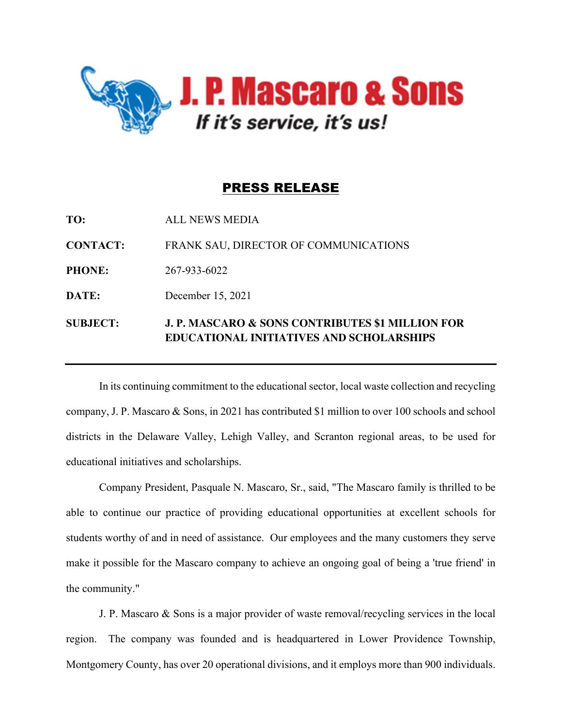

## PRESS RELEASE

| <b>SUBJECT:</b> | <b>J. P. MASCARO &amp; SONS CONTRIBUTES \$1 MILLION FOR</b><br><b>EDUCATIONAL INITIATIVES AND SCHOLARSHIPS</b> |
|-----------------|----------------------------------------------------------------------------------------------------------------|
| DATE:           | December 15, 2021                                                                                              |
| <b>PHONE:</b>   | 267-933-6022                                                                                                   |
| <b>CONTACT:</b> | FRANK SAU, DIRECTOR OF COMMUNICATIONS                                                                          |
| TO:             | ALL NEWS MEDIA                                                                                                 |

In its continuing commitment to the educational sector, local waste collection and recycling company, J. P. Mascaro & Sons, in 2021 has contributed \$1 million to over 100 schools and school districts in the Delaware Valley, Lehigh Valley, and Scranton regional areas, to be used for educational initiatives and scholarships.

Company President, Pasquale N. Mascaro, Sr., said, "The Mascaro family is thrilled to be able to continue our practice of providing educational opportunities at excellent schools for students worthy of and in need of assistance. Our employees and the many customers they serve make it possible for the Mascaro company to achieve an ongoing goal of being a 'true friend' in the community."

J. P. Mascaro & Sons is a major provider of waste removal/recycling services in the local region. The company was founded and is headquartered in Lower Providence Township, Montgomery County, has over 20 operational divisions, and it employs more than 900 individuals.